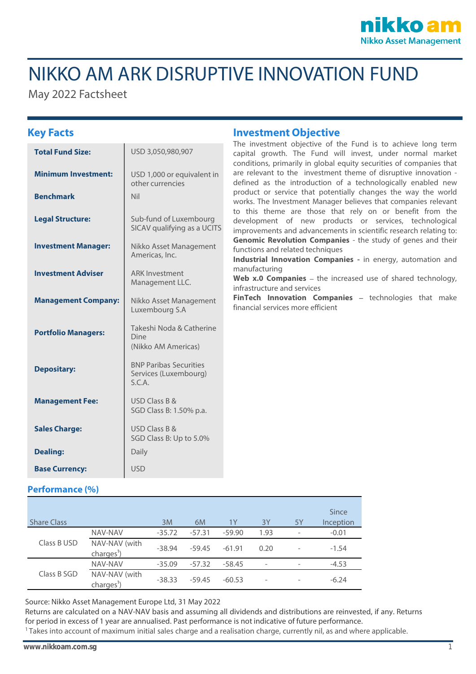

# NIKKO AM ARK DISRUPTIVE INNOVATION FUND

May 2022 Factsheet

| <b>Total Fund Size:</b>    | USD 3,050,980,907                                                |  |
|----------------------------|------------------------------------------------------------------|--|
| <b>Minimum Investment:</b> | USD 1,000 or equivalent in<br>other currencies                   |  |
| <b>Benchmark</b>           | Nil                                                              |  |
| <b>Legal Structure:</b>    | Sub-fund of Luxembourg<br>SICAV qualifying as a UCITS            |  |
| <b>Investment Manager:</b> | Nikko Asset Management<br>Americas, Inc.                         |  |
| <b>Investment Adviser</b>  | <b>ARK Investment</b><br>Management LLC.                         |  |
| <b>Management Company:</b> | Nikko Asset Management<br>Luxembourg S.A                         |  |
| <b>Portfolio Managers:</b> | Takeshi Noda & Catherine<br>Dine<br>(Nikko AM Americas)          |  |
| <b>Depositary:</b>         | <b>BNP Paribas Securities</b><br>Services (Luxembourg)<br>S.C.A. |  |
| <b>Management Fee:</b>     | USD Class B &<br>SGD Class B: 1.50% p.a.                         |  |
| <b>Sales Charge:</b>       | USD Class B &<br>SGD Class B: Up to 5.0%                         |  |
| <b>Dealing:</b>            | Daily                                                            |  |
| <b>Base Currency:</b>      | USD.                                                             |  |

### **Key Facts Investment Objective**

The investment objective of the Fund is to achieve long term capital growth. The Fund will invest, under normal market conditions, primarily in global equity securities of companies that are relevant to the investment theme of disruptive innovation defined as the introduction of a technologically enabled new product or service that potentially changes the way the world works. The Investment Manager believes that companies relevant to this theme are those that rely on or benefit from the development of new products or services, technological improvements and advancements in scientific research relating to: **Genomic Revolution Companies** - the study of genes and their functions and related techniques

**Industrial Innovation Companies -** in energy, automation and manufacturing

**Web x.0 Companies** – the increased use of shared technology, infrastructure and services

**FinTech Innovation Companies** - technologies that make financial services more efficient

### **Performance (%)**

| <b>Share Class</b> |                              | 3M       | 6M       | 1Y       | 3Y                       | 5Y                       | Since<br>Inception |
|--------------------|------------------------------|----------|----------|----------|--------------------------|--------------------------|--------------------|
| Class B USD        | NAV-NAV                      | $-35.72$ | $-57.31$ | $-59.90$ | 1.93                     |                          | $-0.01$            |
|                    | NAV-NAV (with<br>$charge1$ ) | $-38.94$ | $-59.45$ | $-61.91$ | 0.20                     |                          | $-1.54$            |
| Class B SGD        | NAV-NAV                      | $-35.09$ | $-57.32$ | $-58.45$ | $\qquad \qquad -$        | $\overline{\phantom{0}}$ | $-4.53$            |
|                    | NAV-NAV (with<br>$charge1$ ) | $-38.33$ | $-59.45$ | $-60.53$ | $\overline{\phantom{0}}$ |                          | $-6.24$            |

Source: Nikko Asset Management Europe Ltd, 31 May 2022

Returns are calculated on a NAV-NAV basis and assuming all dividends and distributions are reinvested, if any. Returns for period in excess of 1 year are annualised. Past performance is not indicative of future performance.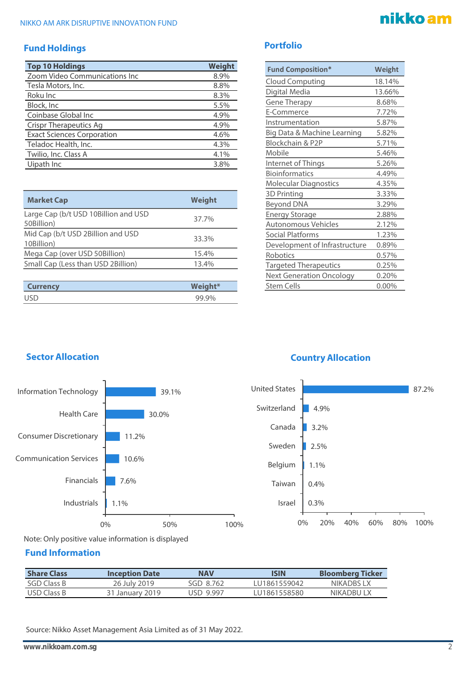### **Fund Holdings**

| <b>Top 10 Holdings</b>            | <b>Weight</b> |
|-----------------------------------|---------------|
| Zoom Video Communications Inc     | 8.9%          |
| Tesla Motors, Inc.                | 8.8%          |
| Roku Inc                          | 8.3%          |
| Block, Inc                        | 5.5%          |
| Coinbase Global Inc               | 4.9%          |
| <b>Crispr Therapeutics Ag</b>     | 4.9%          |
| <b>Exact Sciences Corporation</b> | 4.6%          |
| Teladoc Health, Inc.              | 4.3%          |
| Twilio, Inc. Class A              | 4.1%          |
| Uipath Inc                        | 3.8%          |

| <b>Market Cap</b>                                  | Weight |
|----------------------------------------------------|--------|
| Large Cap (b/t USD 10Billion and USD<br>50Billion) | 37.7%  |
| Mid Cap (b/t USD 2Billion and USD<br>10Billion)    | 33.3%  |
| Mega Cap (over USD 50Billion)                      | 15.4%  |
| Small Cap (Less than USD 2Billion)                 | 13.4%  |
|                                                    |        |

| <b>Currency</b> | Weight* |
|-----------------|---------|
| <b>USD</b>      |         |

# nikko am

### **Portfolio**

| <b>Fund Composition*</b>        | Weight   |  |
|---------------------------------|----------|--|
| <b>Cloud Computing</b>          | 18.14%   |  |
| Digital Media                   | 13.66%   |  |
| <b>Gene Therapy</b>             | 8.68%    |  |
| E-Commerce                      | 7.72%    |  |
| Instrumentation                 | 5.87%    |  |
| Big Data & Machine Learning     | 5.82%    |  |
| Blockchain & P2P                | 5.71%    |  |
| Mobile                          | 5.46%    |  |
| Internet of Things              | 5.26%    |  |
| <b>Bioinformatics</b>           | 4.49%    |  |
| <b>Molecular Diagnostics</b>    | 4.35%    |  |
| 3D Printing                     | 3.33%    |  |
| <b>Beyond DNA</b>               | 3.29%    |  |
| <b>Energy Storage</b>           | 2.88%    |  |
| <b>Autonomous Vehicles</b>      | 2.12%    |  |
| <b>Social Platforms</b>         | 1.23%    |  |
| Development of Infrastructure   | 0.89%    |  |
| Robotics                        | 0.57%    |  |
| <b>Targeted Therapeutics</b>    | 0.25%    |  |
| <b>Next Generation Oncology</b> | 0.20%    |  |
| Stem Cells                      | $0.00\%$ |  |



### **Sector Allocation Country Allocation**



Note: Only positive value information is displayed

### **Fund Information**

| <b>Share Class</b> | <b>Inception Date</b> | <b>NAV</b> | ISIN         | <b>Bloomberg Ticker</b> |
|--------------------|-----------------------|------------|--------------|-------------------------|
| SGD Class B        | 26 July 2019          | SGD 8.762  | LU1861559042 | NIKADBS I X             |
| USD Class B        | 31 January 2019       | lisd 9 997 | LU1861558580 | <b>NIKADBU I X</b>      |

Source: Nikko Asset Management Asia Limited as of 31 May 2022.